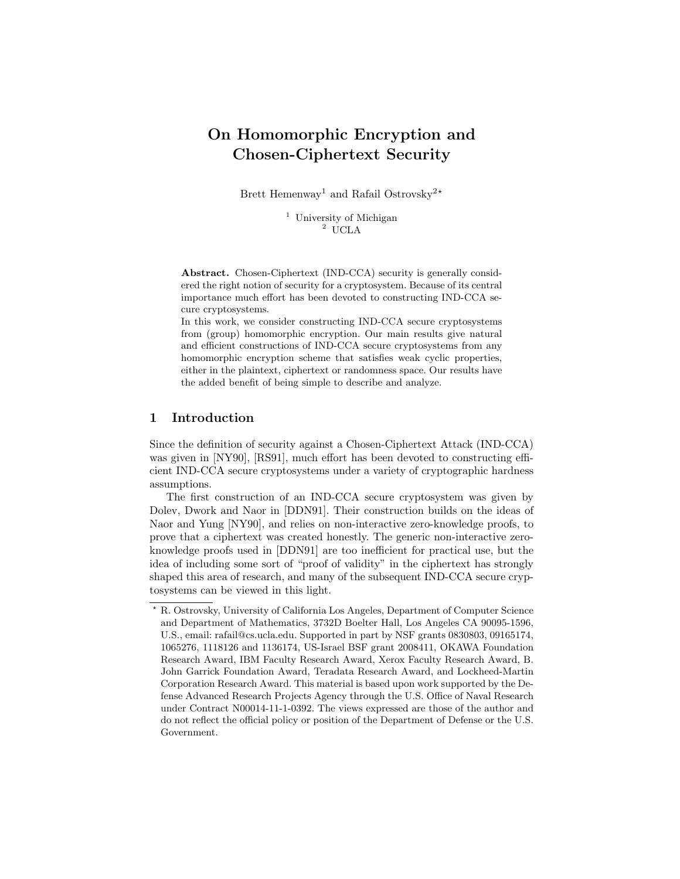# On Homomorphic Encryption and Chosen-Ciphertext Security

Brett Hemenway<sup>1</sup> and Rafail Ostrovsky<sup>2\*</sup>

<sup>1</sup> University of Michigan <sup>2</sup> UCLA

Abstract. Chosen-Ciphertext (IND-CCA) security is generally considered the right notion of security for a cryptosystem. Because of its central importance much effort has been devoted to constructing IND-CCA secure cryptosystems.

In this work, we consider constructing IND-CCA secure cryptosystems from (group) homomorphic encryption. Our main results give natural and efficient constructions of IND-CCA secure cryptosystems from any homomorphic encryption scheme that satisfies weak cyclic properties, either in the plaintext, ciphertext or randomness space. Our results have the added benefit of being simple to describe and analyze.

# 1 Introduction

Since the definition of security against a Chosen-Ciphertext Attack (IND-CCA) was given in [NY90], [RS91], much effort has been devoted to constructing efficient IND-CCA secure cryptosystems under a variety of cryptographic hardness assumptions.

The first construction of an IND-CCA secure cryptosystem was given by Dolev, Dwork and Naor in [DDN91]. Their construction builds on the ideas of Naor and Yung [NY90], and relies on non-interactive zero-knowledge proofs, to prove that a ciphertext was created honestly. The generic non-interactive zeroknowledge proofs used in [DDN91] are too inefficient for practical use, but the idea of including some sort of "proof of validity" in the ciphertext has strongly shaped this area of research, and many of the subsequent IND-CCA secure cryptosystems can be viewed in this light.

<sup>?</sup> R. Ostrovsky, University of California Los Angeles, Department of Computer Science and Department of Mathematics, 3732D Boelter Hall, Los Angeles CA 90095-1596, U.S., email: rafail@cs.ucla.edu. Supported in part by NSF grants 0830803, 09165174, 1065276, 1118126 and 1136174, US-Israel BSF grant 2008411, OKAWA Foundation Research Award, IBM Faculty Research Award, Xerox Faculty Research Award, B. John Garrick Foundation Award, Teradata Research Award, and Lockheed-Martin Corporation Research Award. This material is based upon work supported by the Defense Advanced Research Projects Agency through the U.S. Office of Naval Research under Contract N00014-11-1-0392. The views expressed are those of the author and do not reflect the official policy or position of the Department of Defense or the U.S. Government.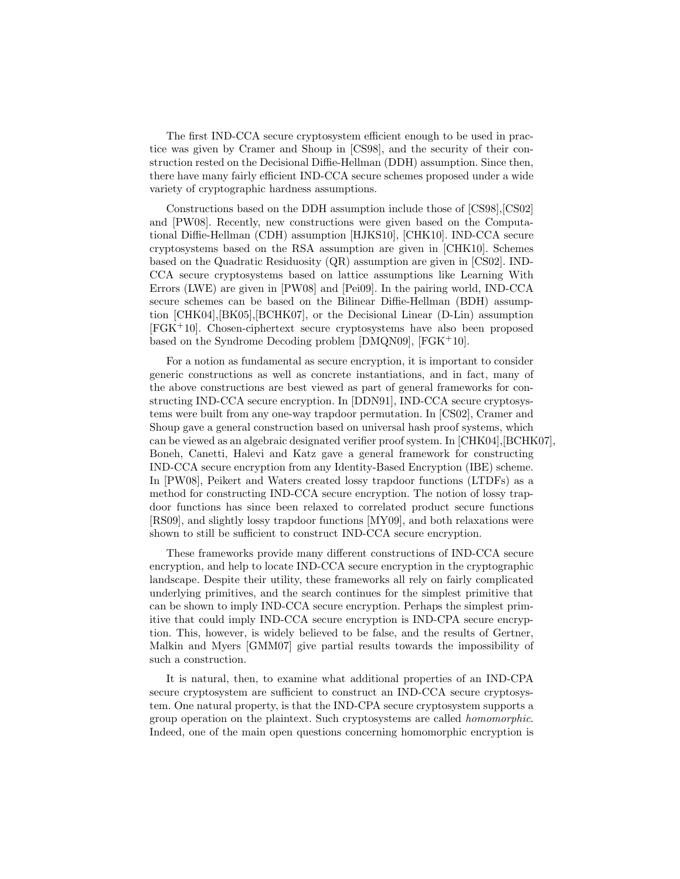The first IND-CCA secure cryptosystem efficient enough to be used in practice was given by Cramer and Shoup in [CS98], and the security of their construction rested on the Decisional Diffie-Hellman (DDH) assumption. Since then, there have many fairly efficient IND-CCA secure schemes proposed under a wide variety of cryptographic hardness assumptions.

Constructions based on the DDH assumption include those of [CS98],[CS02] and [PW08]. Recently, new constructions were given based on the Computational Diffie-Hellman (CDH) assumption [HJKS10], [CHK10]. IND-CCA secure cryptosystems based on the RSA assumption are given in [CHK10]. Schemes based on the Quadratic Residuosity (QR) assumption are given in [CS02]. IND-CCA secure cryptosystems based on lattice assumptions like Learning With Errors (LWE) are given in [PW08] and [Pei09]. In the pairing world, IND-CCA secure schemes can be based on the Bilinear Diffie-Hellman (BDH) assumption [CHK04],[BK05],[BCHK07], or the Decisional Linear (D-Lin) assumption [FGK+10]. Chosen-ciphertext secure cryptosystems have also been proposed based on the Syndrome Decoding problem [DMQN09], [FGK+10].

For a notion as fundamental as secure encryption, it is important to consider generic constructions as well as concrete instantiations, and in fact, many of the above constructions are best viewed as part of general frameworks for constructing IND-CCA secure encryption. In [DDN91], IND-CCA secure cryptosystems were built from any one-way trapdoor permutation. In [CS02], Cramer and Shoup gave a general construction based on universal hash proof systems, which can be viewed as an algebraic designated verifier proof system. In [CHK04],[BCHK07], Boneh, Canetti, Halevi and Katz gave a general framework for constructing IND-CCA secure encryption from any Identity-Based Encryption (IBE) scheme. In [PW08], Peikert and Waters created lossy trapdoor functions (LTDFs) as a method for constructing IND-CCA secure encryption. The notion of lossy trapdoor functions has since been relaxed to correlated product secure functions [RS09], and slightly lossy trapdoor functions [MY09], and both relaxations were shown to still be sufficient to construct IND-CCA secure encryption.

These frameworks provide many different constructions of IND-CCA secure encryption, and help to locate IND-CCA secure encryption in the cryptographic landscape. Despite their utility, these frameworks all rely on fairly complicated underlying primitives, and the search continues for the simplest primitive that can be shown to imply IND-CCA secure encryption. Perhaps the simplest primitive that could imply IND-CCA secure encryption is IND-CPA secure encryption. This, however, is widely believed to be false, and the results of Gertner, Malkin and Myers [GMM07] give partial results towards the impossibility of such a construction.

It is natural, then, to examine what additional properties of an IND-CPA secure cryptosystem are sufficient to construct an IND-CCA secure cryptosystem. One natural property, is that the IND-CPA secure cryptosystem supports a group operation on the plaintext. Such cryptosystems are called homomorphic. Indeed, one of the main open questions concerning homomorphic encryption is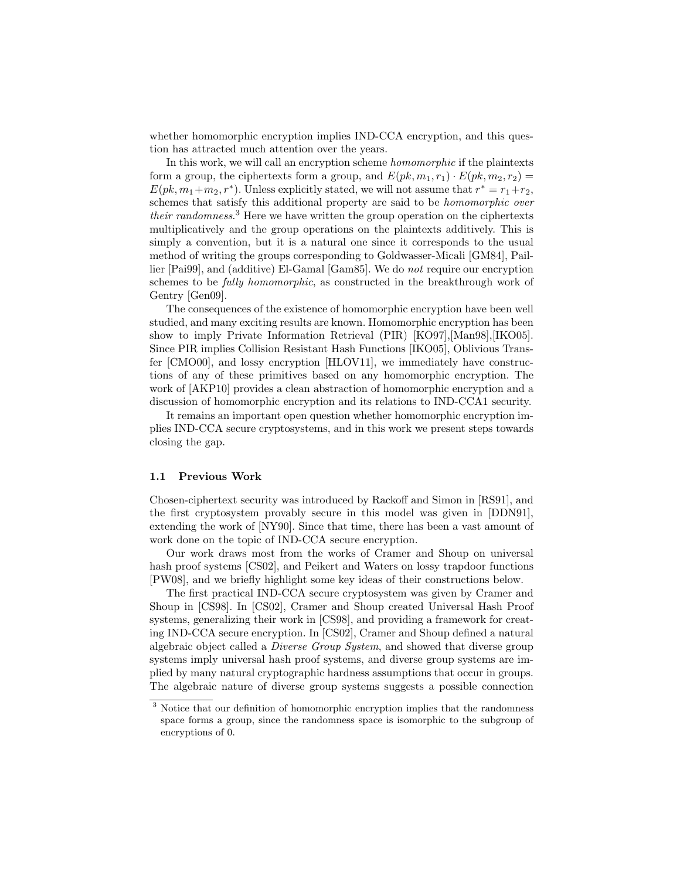whether homomorphic encryption implies IND-CCA encryption, and this question has attracted much attention over the years.

In this work, we will call an encryption scheme homomorphic if the plaintexts form a group, the ciphertexts form a group, and  $E(pk, m_1, r_1) \cdot E(pk, m_2, r_2) =$  $E(pk, m_1+m_2, r^*)$ . Unless explicitly stated, we will not assume that  $r^* = r_1+r_2$ , schemes that satisfy this additional property are said to be homomorphic over their randomness.<sup>3</sup> Here we have written the group operation on the ciphertexts multiplicatively and the group operations on the plaintexts additively. This is simply a convention, but it is a natural one since it corresponds to the usual method of writing the groups corresponding to Goldwasser-Micali [GM84], Paillier [Pai99], and (additive) El-Gamal [Gam85]. We do not require our encryption schemes to be *fully homomorphic*, as constructed in the breakthrough work of Gentry [Gen09].

The consequences of the existence of homomorphic encryption have been well studied, and many exciting results are known. Homomorphic encryption has been show to imply Private Information Retrieval (PIR) [KO97],[Man98],[IKO05]. Since PIR implies Collision Resistant Hash Functions [IKO05], Oblivious Transfer [CMO00], and lossy encryption [HLOV11], we immediately have constructions of any of these primitives based on any homomorphic encryption. The work of [AKP10] provides a clean abstraction of homomorphic encryption and a discussion of homomorphic encryption and its relations to IND-CCA1 security.

It remains an important open question whether homomorphic encryption implies IND-CCA secure cryptosystems, and in this work we present steps towards closing the gap.

#### 1.1 Previous Work

Chosen-ciphertext security was introduced by Rackoff and Simon in [RS91], and the first cryptosystem provably secure in this model was given in [DDN91], extending the work of [NY90]. Since that time, there has been a vast amount of work done on the topic of IND-CCA secure encryption.

Our work draws most from the works of Cramer and Shoup on universal hash proof systems [CS02], and Peikert and Waters on lossy trapdoor functions [PW08], and we briefly highlight some key ideas of their constructions below.

The first practical IND-CCA secure cryptosystem was given by Cramer and Shoup in [CS98]. In [CS02], Cramer and Shoup created Universal Hash Proof systems, generalizing their work in [CS98], and providing a framework for creating IND-CCA secure encryption. In [CS02], Cramer and Shoup defined a natural algebraic object called a Diverse Group System, and showed that diverse group systems imply universal hash proof systems, and diverse group systems are implied by many natural cryptographic hardness assumptions that occur in groups. The algebraic nature of diverse group systems suggests a possible connection

<sup>&</sup>lt;sup>3</sup> Notice that our definition of homomorphic encryption implies that the randomness space forms a group, since the randomness space is isomorphic to the subgroup of encryptions of 0.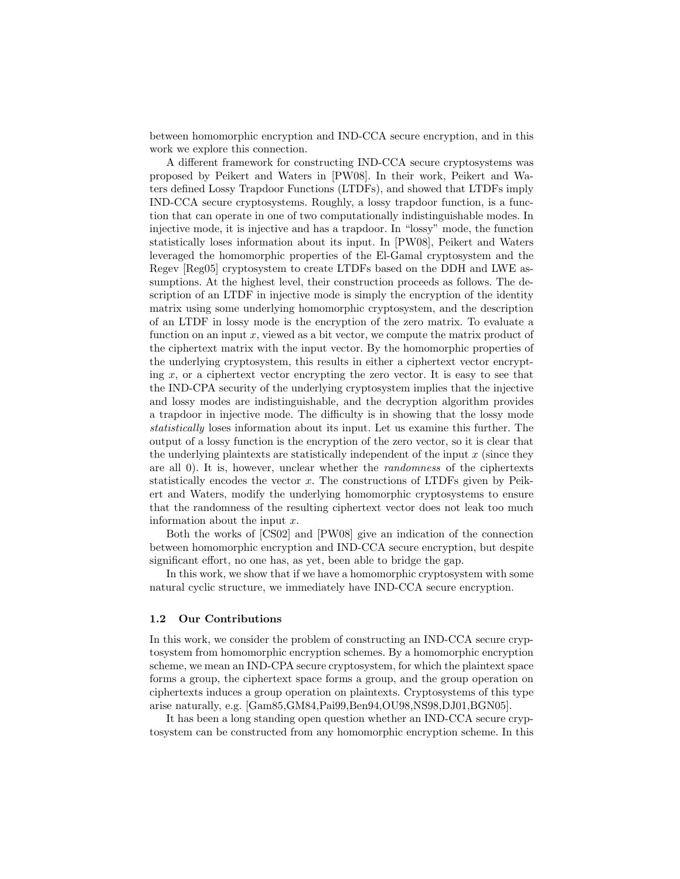between homomorphic encryption and IND-CCA secure encryption, and in this work we explore this connection.

A different framework for constructing IND-CCA secure cryptosystems was proposed by Peikert and Waters in [PW08]. In their work, Peikert and Waters defined Lossy Trapdoor Functions (LTDFs), and showed that LTDFs imply IND-CCA secure cryptosystems. Roughly, a lossy trapdoor function, is a function that can operate in one of two computationally indistinguishable modes. In injective mode, it is injective and has a trapdoor. In "lossy" mode, the function statistically loses information about its input. In [PW08], Peikert and Waters leveraged the homomorphic properties of the El-Gamal cryptosystem and the Regev [Reg05] cryptosystem to create LTDFs based on the DDH and LWE assumptions. At the highest level, their construction proceeds as follows. The description of an LTDF in injective mode is simply the encryption of the identity matrix using some underlying homomorphic cryptosystem, and the description of an LTDF in lossy mode is the encryption of the zero matrix. To evaluate a function on an input  $x$ , viewed as a bit vector, we compute the matrix product of the ciphertext matrix with the input vector. By the homomorphic properties of the underlying cryptosystem, this results in either a ciphertext vector encrypting x, or a ciphertext vector encrypting the zero vector. It is easy to see that the IND-CPA security of the underlying cryptosystem implies that the injective and lossy modes are indistinguishable, and the decryption algorithm provides a trapdoor in injective mode. The difficulty is in showing that the lossy mode statistically loses information about its input. Let us examine this further. The output of a lossy function is the encryption of the zero vector, so it is clear that the underlying plaintexts are statistically independent of the input  $x$  (since they are all 0). It is, however, unclear whether the randomness of the ciphertexts statistically encodes the vector  $x$ . The constructions of LTDFs given by Peikert and Waters, modify the underlying homomorphic cryptosystems to ensure that the randomness of the resulting ciphertext vector does not leak too much information about the input  $x$ .

Both the works of [CS02] and [PW08] give an indication of the connection between homomorphic encryption and IND-CCA secure encryption, but despite significant effort, no one has, as yet, been able to bridge the gap.

In this work, we show that if we have a homomorphic cryptosystem with some natural cyclic structure, we immediately have IND-CCA secure encryption.

#### 1.2 Our Contributions

In this work, we consider the problem of constructing an IND-CCA secure cryptosystem from homomorphic encryption schemes. By a homomorphic encryption scheme, we mean an IND-CPA secure cryptosystem, for which the plaintext space forms a group, the ciphertext space forms a group, and the group operation on ciphertexts induces a group operation on plaintexts. Cryptosystems of this type arise naturally, e.g. [Gam85,GM84,Pai99,Ben94,OU98,NS98,DJ01,BGN05].

It has been a long standing open question whether an IND-CCA secure cryptosystem can be constructed from any homomorphic encryption scheme. In this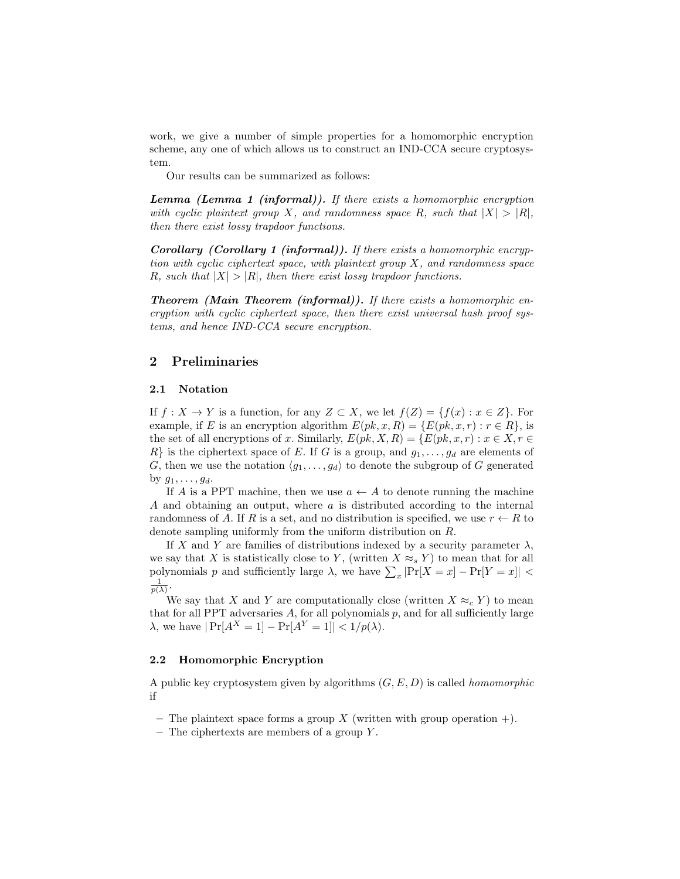work, we give a number of simple properties for a homomorphic encryption scheme, any one of which allows us to construct an IND-CCA secure cryptosystem.

Our results can be summarized as follows:

Lemma (Lemma 1 (informal)). If there exists a homomorphic encryption with cyclic plaintext group X, and randomness space R, such that  $|X| > |R|$ , then there exist lossy trapdoor functions.

Corollary (Corollary 1 (informal)). If there exists a homomorphic encryption with cyclic ciphertext space, with plaintext group  $X$ , and randomness space R, such that  $|X| > |R|$ , then there exist lossy trapdoor functions.

Theorem (Main Theorem (informal)). If there exists a homomorphic encryption with cyclic ciphertext space, then there exist universal hash proof systems, and hence IND-CCA secure encryption.

# 2 Preliminaries

## 2.1 Notation

If  $f: X \to Y$  is a function, for any  $Z \subset X$ , we let  $f(Z) = \{f(x) : x \in Z\}$ . For example, if E is an encryption algorithm  $E(pk, x, R) = \{E(pk, x, r) : r \in R\}$ , is the set of all encryptions of x. Similarly,  $E(pk, X, R) = \{E(pk, x, r) : x \in X, r \in$  $R$  is the ciphertext space of E. If G is a group, and  $g_1, \ldots, g_d$  are elements of G, then we use the notation  $\langle g_1, \ldots, g_d \rangle$  to denote the subgroup of G generated by  $g_1, \ldots, g_d$ .

If A is a PPT machine, then we use  $a \leftarrow A$  to denote running the machine A and obtaining an output, where a is distributed according to the internal randomness of A. If R is a set, and no distribution is specified, we use  $r \leftarrow R$  to denote sampling uniformly from the uniform distribution on R.

If X and Y are families of distributions indexed by a security parameter  $\lambda$ , we say that X is statistically close to Y, (written  $X \approx_s Y$ ) to mean that for all polynomials p and sufficiently large  $\lambda$ , we have  $\sum_{x} |\Pr[X = x] - \Pr[Y = x]|$  $\frac{1}{p(\lambda)}$ .

We say that X and Y are computationally close (written  $X \approx_c Y$ ) to mean that for all PPT adversaries  $A$ , for all polynomials  $p$ , and for all sufficiently large  $\lambda$ , we have  $|\Pr[A^X = 1] - \Pr[A^Y = 1]| < 1/p(\lambda)$ .

## 2.2 Homomorphic Encryption

A public key cryptosystem given by algorithms  $(G, E, D)$  is called *homomorphic* if

- The plaintext space forms a group X (written with group operation  $+)$ .
- $-$  The ciphertexts are members of a group Y.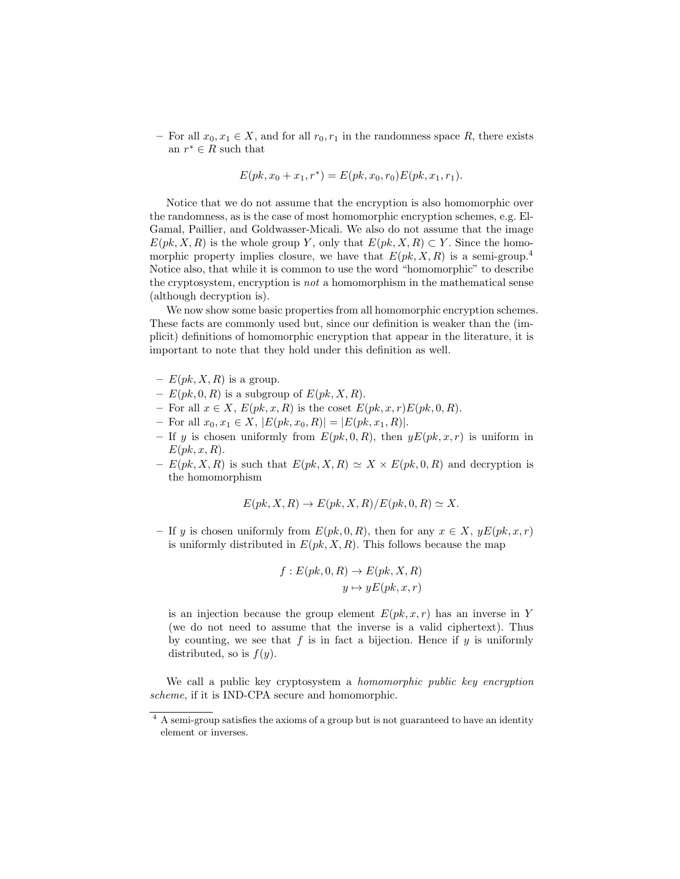– For all  $x_0, x_1 \in X$ , and for all  $r_0, r_1$  in the randomness space R, there exists an  $r^* \in R$  such that

$$
E(pk, x_0 + x_1, r^*) = E(pk, x_0, r_0)E(pk, x_1, r_1).
$$

Notice that we do not assume that the encryption is also homomorphic over the randomness, as is the case of most homomorphic encryption schemes, e.g. El-Gamal, Paillier, and Goldwasser-Micali. We also do not assume that the image  $E(pk, X, R)$  is the whole group Y, only that  $E(pk, X, R) \subset Y$ . Since the homomorphic property implies closure, we have that  $E(pk, X, R)$  is a semi-group.<sup>4</sup> Notice also, that while it is common to use the word "homomorphic" to describe the cryptosystem, encryption is not a homomorphism in the mathematical sense (although decryption is).

We now show some basic properties from all homomorphic encryption schemes. These facts are commonly used but, since our definition is weaker than the (implicit) definitions of homomorphic encryption that appear in the literature, it is important to note that they hold under this definition as well.

- $E(pk, X, R)$  is a group.
- $E(pk, 0, R)$  is a subgroup of  $E(pk, X, R)$ .
- For all  $x \in X$ ,  $E(pk, x, R)$  is the coset  $E(pk, x, r)E(pk, 0, R)$ .
- For all  $x_0, x_1 \in X$ ,  $|E(pk, x_0, R)| = |E(pk, x_1, R)|$ .
- If y is chosen uniformly from  $E(pk, 0, R)$ , then  $yE(pk, x, r)$  is uniform in  $E(pk, x, R)$ .
- $E(pk, X, R)$  is such that  $E(pk, X, R) \simeq X \times E(pk, 0, R)$  and decryption is the homomorphism

$$
E(pk, X, R) \rightarrow E(pk, X, R)/E(pk, 0, R) \simeq X.
$$

– If y is chosen uniformly from  $E(pk, 0, R)$ , then for any  $x \in X$ ,  $yE(pk, x, r)$ is uniformly distributed in  $E(pk, X, R)$ . This follows because the map

$$
f: E(pk, 0, R) \to E(pk, X, R)
$$

$$
y \mapsto yE(pk, x, r)
$$

is an injection because the group element  $E(pk, x, r)$  has an inverse in Y (we do not need to assume that the inverse is a valid ciphertext). Thus by counting, we see that  $f$  is in fact a bijection. Hence if  $y$  is uniformly distributed, so is  $f(y)$ .

We call a public key cryptosystem a *homomorphic public key encryption* scheme, if it is IND-CPA secure and homomorphic.

<sup>4</sup> A semi-group satisfies the axioms of a group but is not guaranteed to have an identity element or inverses.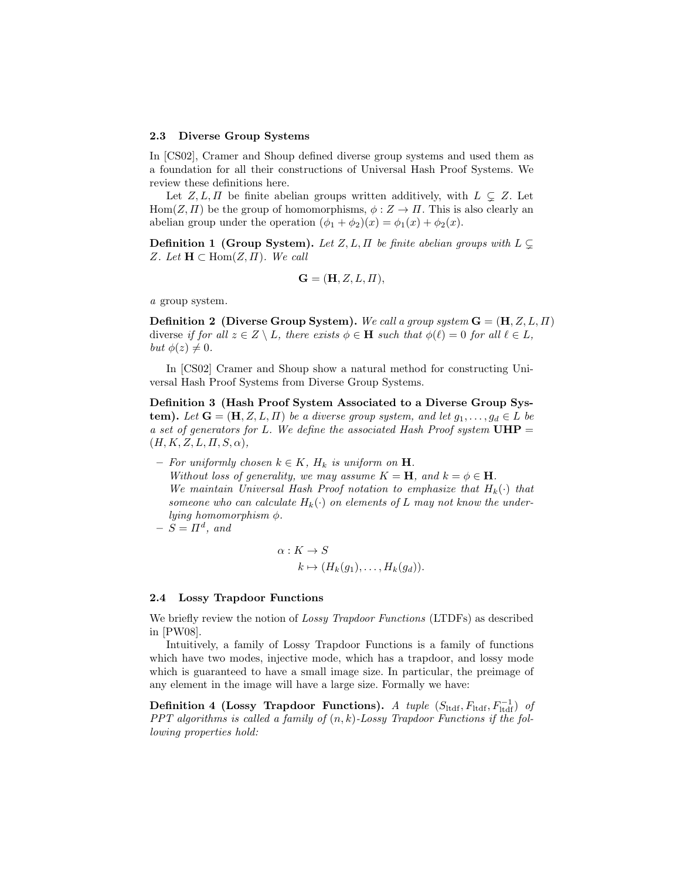#### 2.3 Diverse Group Systems

In [CS02], Cramer and Shoup defined diverse group systems and used them as a foundation for all their constructions of Universal Hash Proof Systems. We review these definitions here.

Let  $Z, L, \Pi$  be finite abelian groups written additively, with  $L \subseteq Z$ . Let  $Hom(Z, \Pi)$  be the group of homomorphisms,  $\phi : Z \to \Pi$ . This is also clearly an abelian group under the operation  $(\phi_1 + \phi_2)(x) = \phi_1(x) + \phi_2(x)$ .

**Definition 1 (Group System).** Let Z, L,  $\Pi$  be finite abelian groups with  $L \subsetneq$ Z. Let  $\mathbf{H} \subset \text{Hom}(Z, \Pi)$ . We call

$$
\mathbf{G} = (\mathbf{H}, Z, L, \Pi),
$$

a group system.

**Definition 2** (Diverse Group System). We call a group system  $G = (H, Z, L, \Pi)$ diverse if for all  $z \in Z \setminus L$ , there exists  $\phi \in \mathbf{H}$  such that  $\phi(\ell) = 0$  for all  $\ell \in L$ , but  $\phi(z) \neq 0$ .

In [CS02] Cramer and Shoup show a natural method for constructing Universal Hash Proof Systems from Diverse Group Systems.

Definition 3 (Hash Proof System Associated to a Diverse Group System). Let  $G = (H, Z, L, \Pi)$  be a diverse group system, and let  $g_1, \ldots, g_d \in L$  be a set of generators for L. We define the associated Hash Proof system  $UHP =$  $(H, K, Z, L, \Pi, S, \alpha),$ 

- For uniformly chosen  $k \in K$ ,  $H_k$  is uniform on **H**. Without loss of generality, we may assume  $K = H$ , and  $k = \phi \in H$ . We maintain Universal Hash Proof notation to emphasize that  $H_k(\cdot)$  that someone who can calculate  $H_k(\cdot)$  on elements of L may not know the underlying homomorphism  $\phi$ .
- $S = \Pi^d$ , and

$$
\alpha: K \to S
$$
  

$$
k \mapsto (H_k(g_1), \dots, H_k(g_d)).
$$

#### 2.4 Lossy Trapdoor Functions

We briefly review the notion of Lossy Trapdoor Functions (LTDFs) as described in [PW08].

Intuitively, a family of Lossy Trapdoor Functions is a family of functions which have two modes, injective mode, which has a trapdoor, and lossy mode which is guaranteed to have a small image size. In particular, the preimage of any element in the image will have a large size. Formally we have:

Definition 4 (Lossy Trapdoor Functions). A tuple  $(S_{\text{tdf}}, F_{\text{tdf}}, F_{\text{tdf}}^{-1})$  of PPT algorithms is called a family of  $(n, k)$ -Lossy Trapdoor Functions if the following properties hold: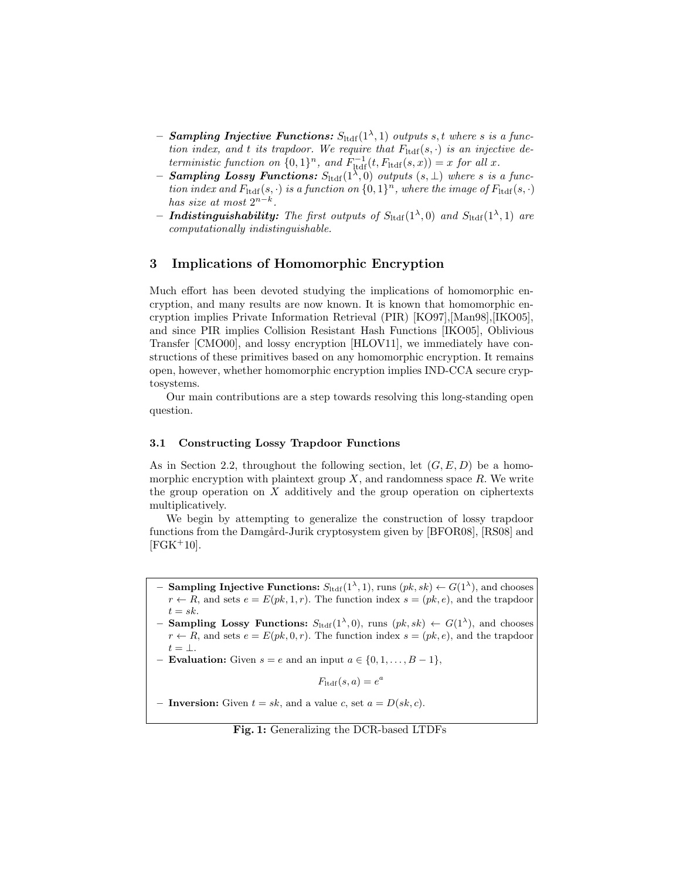- **Sampling Injective Functions:**  $S_{\text{ltdf}}(1^{\lambda}, 1)$  outputs s, t where s is a function index, and t its trapdoor. We require that  $F_{\text{ltdf}}(s, \cdot)$  is an injective deterministic function on  $\{0,1\}^n$ , and  $F_{\text{tdf}}^{-1}(t, F_{\text{tdf}}(s, x)) = x$  for all x.
- **Sampling Lossy Functions:**  $S_{\text{ltdf}}(1^{\lambda},0)$  outputs  $(s, \perp)$  where s is a function index and  $F_{\text{ltdf}}(s, \cdot)$  is a function on  $\{0, 1\}^n$ , where the image of  $F_{\text{ltdf}}(s, \cdot)$ has size at most  $2^{n-k}$ .
- Indistinguishability: The first outputs of  $S_{\text{ltdf}}(1^{\lambda},0)$  and  $S_{\text{ltdf}}(1^{\lambda},1)$  are computationally indistinguishable.

## 3 Implications of Homomorphic Encryption

Much effort has been devoted studying the implications of homomorphic encryption, and many results are now known. It is known that homomorphic encryption implies Private Information Retrieval (PIR) [KO97],[Man98],[IKO05], and since PIR implies Collision Resistant Hash Functions [IKO05], Oblivious Transfer [CMO00], and lossy encryption [HLOV11], we immediately have constructions of these primitives based on any homomorphic encryption. It remains open, however, whether homomorphic encryption implies IND-CCA secure cryptosystems.

Our main contributions are a step towards resolving this long-standing open question.

## 3.1 Constructing Lossy Trapdoor Functions

As in Section 2.2, throughout the following section, let  $(G, E, D)$  be a homomorphic encryption with plaintext group  $X$ , and randomness space  $R$ . We write the group operation on X additively and the group operation on ciphertexts multiplicatively.

We begin by attempting to generalize the construction of lossy trapdoor functions from the Damgård-Jurik cryptosystem given by [BFOR08], [RS08] and  $[FGK+10]$ .

- **Sampling Injective Functions:**  $S_{\text{ltdf}}(1^{\lambda}, 1)$ , runs  $(pk, sk) \leftarrow G(1^{\lambda})$ , and chooses  $r \leftarrow R$ , and sets  $e = E(pk, 1, r)$ . The function index  $s = (pk, e)$ , and the trapdoor  $t = sk$ .
- Sampling Lossy Functions:  $S_{\text{ltdf}}(1^{\lambda},0)$ , runs  $(pk, sk) \leftarrow G(1^{\lambda})$ , and chooses  $r \leftarrow R$ , and sets  $e = E(pk, 0, r)$ . The function index  $s = (pk, e)$ , and the trapdoor  $t = \perp$ .
- **Evaluation:** Given  $s = e$  and an input  $a \in \{0, 1, \ldots, B 1\},\$

 $F_{\text{ltdf}}(s, a) = e^a$ 

- **Inversion:** Given  $t = sk$ , and a value c, set  $a = D(sk, c)$ .

Fig. 1: Generalizing the DCR-based LTDFs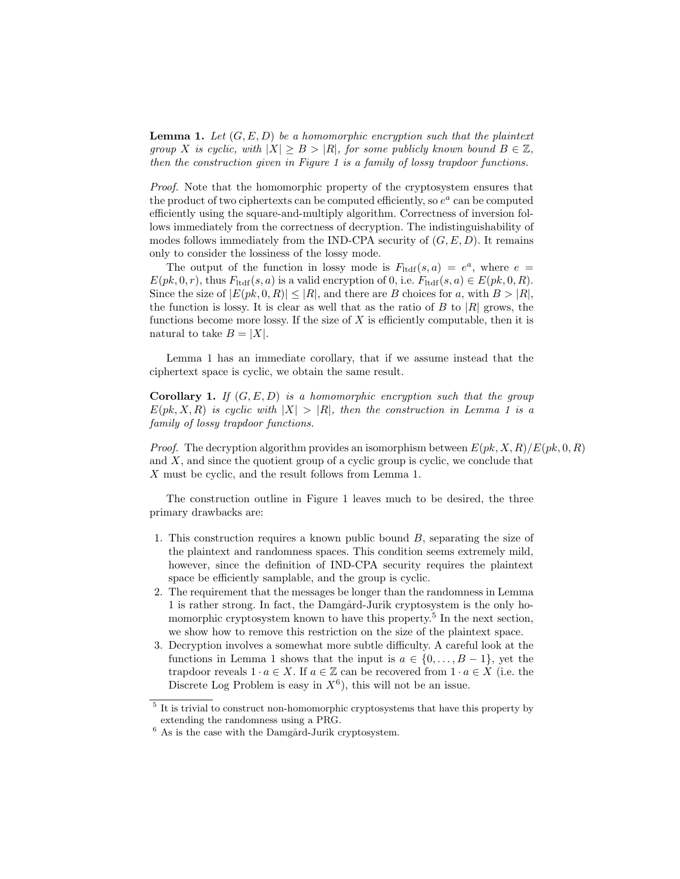**Lemma 1.** Let  $(G, E, D)$  be a homomorphic encryption such that the plaintext group X is cyclic, with  $|X| \geq B > |R|$ , for some publicly known bound  $B \in \mathbb{Z}$ , then the construction given in Figure 1 is a family of lossy trapdoor functions.

Proof. Note that the homomorphic property of the cryptosystem ensures that the product of two ciphertexts can be computed efficiently, so  $e^a$  can be computed efficiently using the square-and-multiply algorithm. Correctness of inversion follows immediately from the correctness of decryption. The indistinguishability of modes follows immediately from the IND-CPA security of  $(G, E, D)$ . It remains only to consider the lossiness of the lossy mode.

The output of the function in lossy mode is  $F_{\text{ltdf}}(s, a) = e^a$ , where  $e =$  $E(pk, 0, r)$ , thus  $F_{\text{ltdf}}(s, a)$  is a valid encryption of 0, i.e.  $F_{\text{ltdf}}(s, a) \in E(pk, 0, R)$ . Since the size of  $|E(pk, 0, R)| \leq |R|$ , and there are B choices for a, with  $B > |R|$ , the function is lossy. It is clear as well that as the ratio of B to  $|R|$  grows, the functions become more lossy. If the size of  $X$  is efficiently computable, then it is natural to take  $B = |X|$ .

Lemma 1 has an immediate corollary, that if we assume instead that the ciphertext space is cyclic, we obtain the same result.

**Corollary 1.** If  $(G, E, D)$  is a homomorphic encryption such that the group  $E(pk, X, R)$  is cyclic with  $|X| > |R|$ , then the construction in Lemma 1 is a family of lossy trapdoor functions.

*Proof.* The decryption algorithm provides an isomorphism between  $E(pk, X, R)/E(pk, 0, R)$ and  $X$ , and since the quotient group of a cyclic group is cyclic, we conclude that X must be cyclic, and the result follows from Lemma 1.

The construction outline in Figure 1 leaves much to be desired, the three primary drawbacks are:

- 1. This construction requires a known public bound B, separating the size of the plaintext and randomness spaces. This condition seems extremely mild, however, since the definition of IND-CPA security requires the plaintext space be efficiently samplable, and the group is cyclic.
- 2. The requirement that the messages be longer than the randomness in Lemma 1 is rather strong. In fact, the Damgård-Jurik cryptosystem is the only homomorphic cryptosystem known to have this property.<sup>5</sup> In the next section, we show how to remove this restriction on the size of the plaintext space.
- 3. Decryption involves a somewhat more subtle difficulty. A careful look at the functions in Lemma 1 shows that the input is  $a \in \{0, \ldots, B-1\}$ , yet the trapdoor reveals  $1 \cdot a \in X$ . If  $a \in \mathbb{Z}$  can be recovered from  $1 \cdot a \in X$  (i.e. the Discrete Log Problem is easy in  $X^6$ ), this will not be an issue.

<sup>&</sup>lt;sup>5</sup> It is trivial to construct non-homomorphic cryptosystems that have this property by extending the randomness using a PRG.

 $6$  As is the case with the Damgård-Jurik cryptosystem.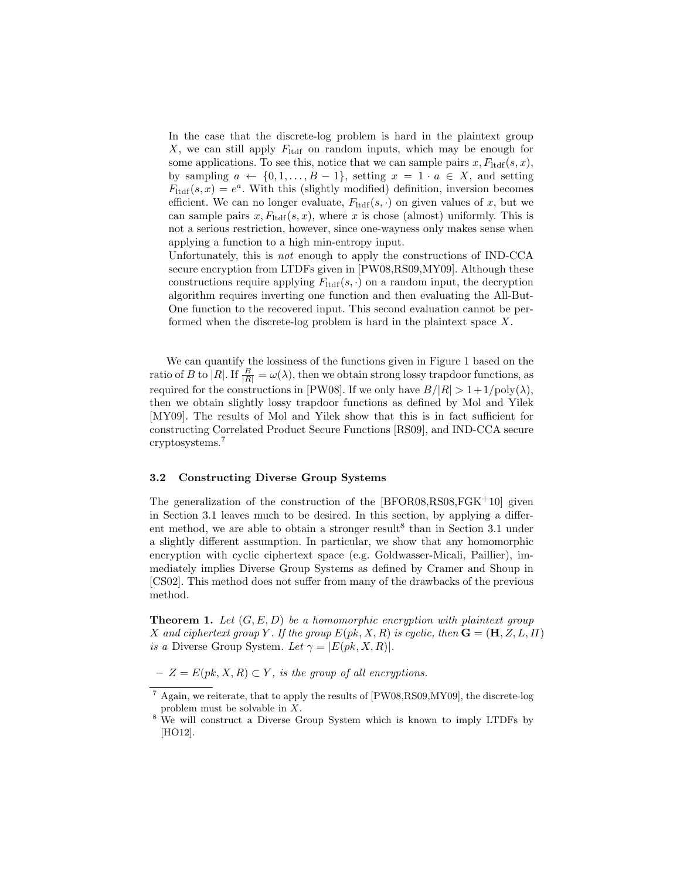In the case that the discrete-log problem is hard in the plaintext group  $X$ , we can still apply  $F_{\text{ltdf}}$  on random inputs, which may be enough for some applications. To see this, notice that we can sample pairs  $x, F_{\text{tdf}}(s, x)$ , by sampling  $a \leftarrow \{0, 1, \ldots, B - 1\}$ , setting  $x = 1 \cdot a \in X$ , and setting  $F_{\text{ltdf}}(s,x) = e^a$ . With this (slightly modified) definition, inversion becomes efficient. We can no longer evaluate,  $F_{\text{tdf}}(s, \cdot)$  on given values of x, but we can sample pairs x,  $F_{\text{tdf}}(s, x)$ , where x is chose (almost) uniformly. This is not a serious restriction, however, since one-wayness only makes sense when applying a function to a high min-entropy input.

Unfortunately, this is not enough to apply the constructions of IND-CCA secure encryption from LTDFs given in [PW08,RS09,MY09]. Although these constructions require applying  $F_{\text{ltdf}}(s, \cdot)$  on a random input, the decryption algorithm requires inverting one function and then evaluating the All-But-One function to the recovered input. This second evaluation cannot be performed when the discrete-log problem is hard in the plaintext space X.

We can quantify the lossiness of the functions given in Figure 1 based on the ratio of B to |R|. If  $\frac{B}{|R|} = \omega(\lambda)$ , then we obtain strong lossy trapdoor functions, as required for the constructions in [PW08]. If we only have  $B/|R| > 1+1/\text{poly}(\lambda)$ , then we obtain slightly lossy trapdoor functions as defined by Mol and Yilek [MY09]. The results of Mol and Yilek show that this is in fact sufficient for constructing Correlated Product Secure Functions [RS09], and IND-CCA secure cryptosystems.<sup>7</sup>

## 3.2 Constructing Diverse Group Systems

The generalization of the construction of the  $[BFOR08,RS08,FGK^+10]$  given in Section 3.1 leaves much to be desired. In this section, by applying a different method, we are able to obtain a stronger result<sup>8</sup> than in Section 3.1 under a slightly different assumption. In particular, we show that any homomorphic encryption with cyclic ciphertext space (e.g. Goldwasser-Micali, Paillier), immediately implies Diverse Group Systems as defined by Cramer and Shoup in [CS02]. This method does not suffer from many of the drawbacks of the previous method.

**Theorem 1.** Let  $(G, E, D)$  be a homomorphic encryption with plaintext group X and ciphertext group Y. If the group  $E(pk, X, R)$  is cyclic, then  $\mathbf{G} = (\mathbf{H}, Z, L, \Pi)$ is a Diverse Group System. Let  $\gamma = |E(pk, X, R)|$ .

 $-Z = E(pk, X, R) \subset Y$ , is the group of all encryptions.

<sup>7</sup> Again, we reiterate, that to apply the results of [PW08,RS09,MY09], the discrete-log problem must be solvable in X.

<sup>&</sup>lt;sup>8</sup> We will construct a Diverse Group System which is known to imply LTDFs by [HO12].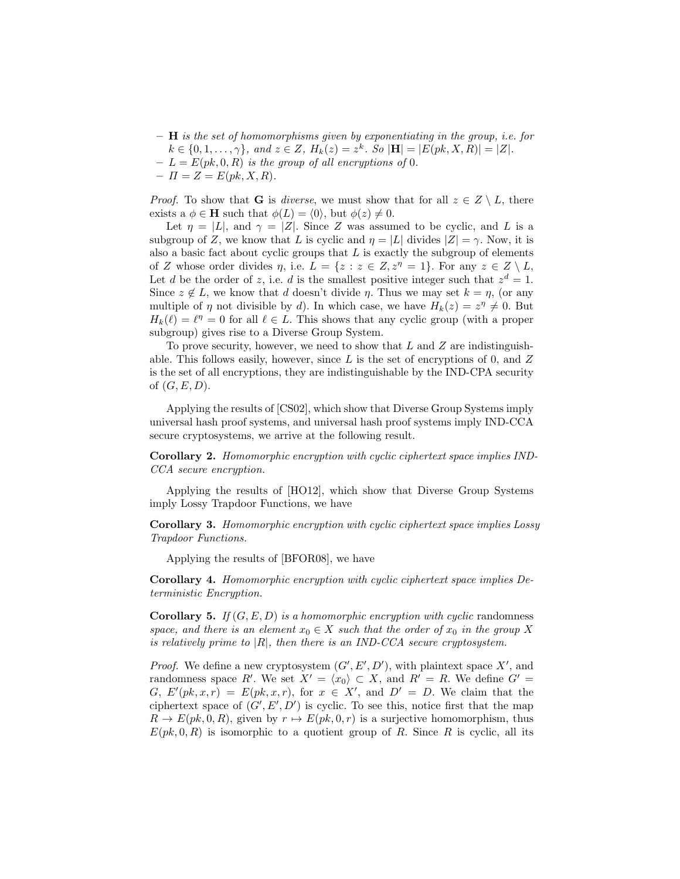- $-$  **H** is the set of homomorphisms given by exponentiating in the group, i.e. for  $k \in \{0, 1, \ldots, \gamma\}, \text{ and } z \in Z, H_k(z) = z^k. \text{ So } |\mathbf{H}| = |E(pk, X, R)| = |Z|.$
- $-L = E(pk, 0, R)$  is the group of all encryptions of 0.
- $-I = Z = E(pk, X, R).$

*Proof.* To show that **G** is *diverse*, we must show that for all  $z \in Z \setminus L$ , there exists a  $\phi \in \mathbf{H}$  such that  $\phi(L) = \langle 0 \rangle$ , but  $\phi(z) \neq 0$ .

Let  $\eta = |L|$ , and  $\gamma = |Z|$ . Since Z was assumed to be cyclic, and L is a subgroup of Z, we know that L is cyclic and  $\eta = |L|$  divides  $|Z| = \gamma$ . Now, it is also a basic fact about cyclic groups that  $L$  is exactly the subgroup of elements of Z whose order divides  $\eta$ , i.e.  $L = \{z : z \in Z, z^{\eta} = 1\}$ . For any  $z \in Z \setminus L$ , Let d be the order of z, i.e. d is the smallest positive integer such that  $z^d = 1$ . Since  $z \notin L$ , we know that d doesn't divide  $\eta$ . Thus we may set  $k = \eta$ , (or any multiple of  $\eta$  not divisible by d). In which case, we have  $H_k(z) = z^{\eta} \neq 0$ . But  $H_k(\ell) = \ell^{\eta} = 0$  for all  $\ell \in L$ . This shows that any cyclic group (with a proper subgroup) gives rise to a Diverse Group System.

To prove security, however, we need to show that  $L$  and  $Z$  are indistinguishable. This follows easily, however, since  $L$  is the set of encryptions of 0, and  $Z$ is the set of all encryptions, they are indistinguishable by the IND-CPA security of  $(G, E, D)$ .

Applying the results of [CS02], which show that Diverse Group Systems imply universal hash proof systems, and universal hash proof systems imply IND-CCA secure cryptosystems, we arrive at the following result.

Corollary 2. Homomorphic encryption with cyclic ciphertext space implies IND-CCA secure encryption.

Applying the results of [HO12], which show that Diverse Group Systems imply Lossy Trapdoor Functions, we have

Corollary 3. Homomorphic encryption with cyclic ciphertext space implies Lossy Trapdoor Functions.

Applying the results of [BFOR08], we have

Corollary 4. Homomorphic encryption with cyclic ciphertext space implies Deterministic Encryption.

**Corollary 5.** If  $(G, E, D)$  is a homomorphic encryption with cyclic randomness space, and there is an element  $x_0 \in X$  such that the order of  $x_0$  in the group X is relatively prime to  $|R|$ , then there is an IND-CCA secure cryptosystem.

*Proof.* We define a new cryptosystem  $(G', E', D')$ , with plaintext space  $X'$ , and randomness space R'. We set  $X' = \langle x_0 \rangle \subset X$ , and  $R' = R$ . We define  $G' =$ G,  $E'(pk, x, r) = E(pk, x, r)$ , for  $x \in X'$ , and  $D' = D$ . We claim that the ciphertext space of  $(G', E', D')$  is cyclic. To see this, notice first that the map  $R \to E(pk, 0, R)$ , given by  $r \mapsto E(pk, 0, r)$  is a surjective homomorphism, thus  $E(pk, 0, R)$  is isomorphic to a quotient group of R. Since R is cyclic, all its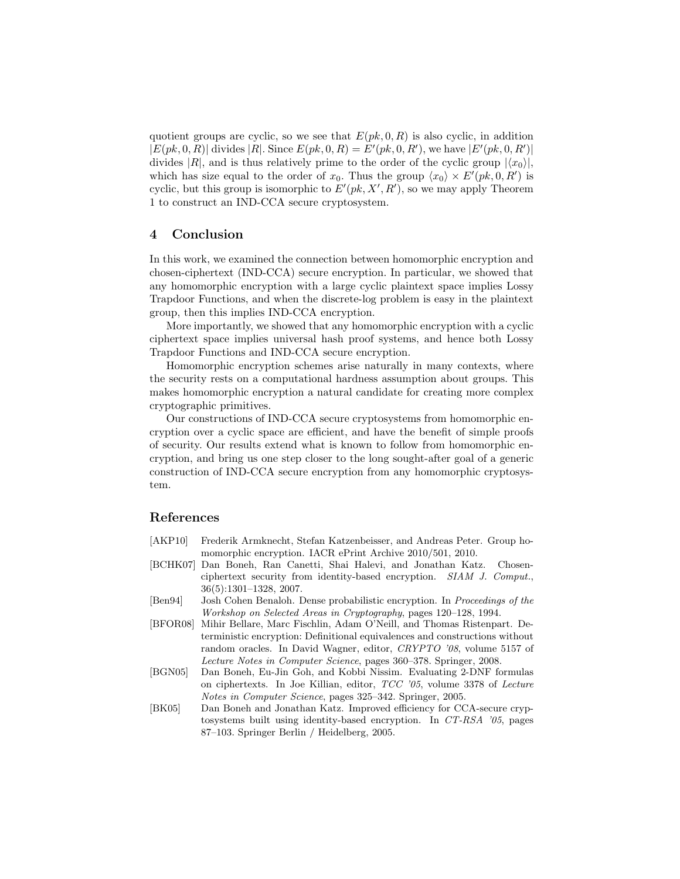quotient groups are cyclic, so we see that  $E(pk, 0, R)$  is also cyclic, in addition  $|E(pk, 0, R)|$  divides |R|. Since  $E(pk, 0, R) = E'(pk, 0, R')$ , we have  $|E'(pk, 0, R')|$ divides |R|, and is thus relatively prime to the order of the cyclic group  $|\langle x_0 \rangle|$ , which has size equal to the order of  $x_0$ . Thus the group  $\langle x_0 \rangle \times E'(pk, 0, R')$  is cyclic, but this group is isomorphic to  $E'(pk, X', R')$ , so we may apply Theorem 1 to construct an IND-CCA secure cryptosystem.

# 4 Conclusion

In this work, we examined the connection between homomorphic encryption and chosen-ciphertext (IND-CCA) secure encryption. In particular, we showed that any homomorphic encryption with a large cyclic plaintext space implies Lossy Trapdoor Functions, and when the discrete-log problem is easy in the plaintext group, then this implies IND-CCA encryption.

More importantly, we showed that any homomorphic encryption with a cyclic ciphertext space implies universal hash proof systems, and hence both Lossy Trapdoor Functions and IND-CCA secure encryption.

Homomorphic encryption schemes arise naturally in many contexts, where the security rests on a computational hardness assumption about groups. This makes homomorphic encryption a natural candidate for creating more complex cryptographic primitives.

Our constructions of IND-CCA secure cryptosystems from homomorphic encryption over a cyclic space are efficient, and have the benefit of simple proofs of security. Our results extend what is known to follow from homomorphic encryption, and bring us one step closer to the long sought-after goal of a generic construction of IND-CCA secure encryption from any homomorphic cryptosystem.

## References

- [AKP10] Frederik Armknecht, Stefan Katzenbeisser, and Andreas Peter. Group homomorphic encryption. IACR ePrint Archive 2010/501, 2010.
- [BCHK07] Dan Boneh, Ran Canetti, Shai Halevi, and Jonathan Katz. Chosenciphertext security from identity-based encryption. SIAM J. Comput., 36(5):1301–1328, 2007.
- [Ben94] Josh Cohen Benaloh. Dense probabilistic encryption. In Proceedings of the Workshop on Selected Areas in Cryptography, pages 120–128, 1994.
- [BFOR08] Mihir Bellare, Marc Fischlin, Adam O'Neill, and Thomas Ristenpart. Deterministic encryption: Definitional equivalences and constructions without random oracles. In David Wagner, editor, CRYPTO '08, volume 5157 of Lecture Notes in Computer Science, pages 360–378. Springer, 2008.
- [BGN05] Dan Boneh, Eu-Jin Goh, and Kobbi Nissim. Evaluating 2-DNF formulas on ciphertexts. In Joe Killian, editor, TCC '05, volume 3378 of Lecture Notes in Computer Science, pages 325–342. Springer, 2005.
- [BK05] Dan Boneh and Jonathan Katz. Improved efficiency for CCA-secure cryptosystems built using identity-based encryption. In CT-RSA '05, pages 87–103. Springer Berlin / Heidelberg, 2005.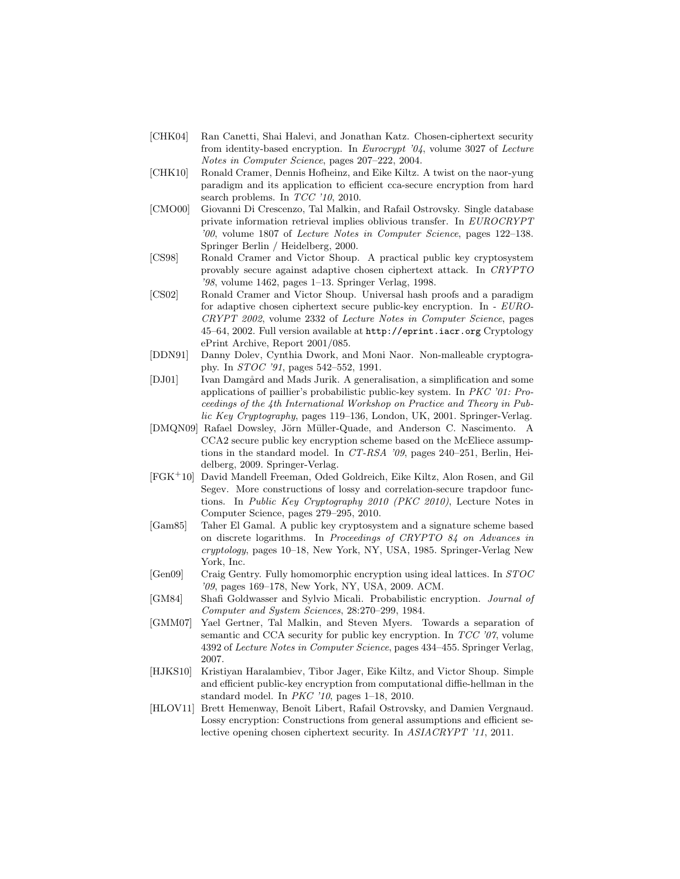- [CHK04] Ran Canetti, Shai Halevi, and Jonathan Katz. Chosen-ciphertext security from identity-based encryption. In Eurocrypt '04, volume 3027 of Lecture Notes in Computer Science, pages 207–222, 2004.
- [CHK10] Ronald Cramer, Dennis Hofheinz, and Eike Kiltz. A twist on the naor-yung paradigm and its application to efficient cca-secure encryption from hard search problems. In TCC '10, 2010.
- [CMO00] Giovanni Di Crescenzo, Tal Malkin, and Rafail Ostrovsky. Single database private information retrieval implies oblivious transfer. In EUROCRYPT '00, volume 1807 of Lecture Notes in Computer Science, pages 122–138. Springer Berlin / Heidelberg, 2000.
- [CS98] Ronald Cramer and Victor Shoup. A practical public key cryptosystem provably secure against adaptive chosen ciphertext attack. In CRYPTO '98, volume 1462, pages 1–13. Springer Verlag, 1998.
- [CS02] Ronald Cramer and Victor Shoup. Universal hash proofs and a paradigm for adaptive chosen ciphertext secure public-key encryption. In - EURO-CRYPT 2002, volume 2332 of Lecture Notes in Computer Science, pages 45–64, 2002. Full version available at http://eprint.iacr.org Cryptology ePrint Archive, Report 2001/085.
- [DDN91] Danny Dolev, Cynthia Dwork, and Moni Naor. Non-malleable cryptography. In STOC '91, pages 542–552, 1991.
- [DJ01] Ivan Damgård and Mads Jurik. A generalisation, a simplification and some applications of paillier's probabilistic public-key system. In PKC '01: Proceedings of the 4th International Workshop on Practice and Theory in Public Key Cryptography, pages 119–136, London, UK, 2001. Springer-Verlag.
- [DMQN09] Rafael Dowsley, Jörn Müller-Quade, and Anderson C. Nascimento. A CCA2 secure public key encryption scheme based on the McEliece assumptions in the standard model. In CT-RSA '09, pages 240–251, Berlin, Heidelberg, 2009. Springer-Verlag.
- [FGK<sup>+</sup>10] David Mandell Freeman, Oded Goldreich, Eike Kiltz, Alon Rosen, and Gil Segev. More constructions of lossy and correlation-secure trapdoor functions. In Public Key Cryptography 2010 (PKC 2010), Lecture Notes in Computer Science, pages 279–295, 2010.
- [Gam85] Taher El Gamal. A public key cryptosystem and a signature scheme based on discrete logarithms. In Proceedings of CRYPTO 84 on Advances in cryptology, pages 10–18, New York, NY, USA, 1985. Springer-Verlag New York, Inc.
- [Gen09] Craig Gentry. Fully homomorphic encryption using ideal lattices. In STOC '09, pages 169–178, New York, NY, USA, 2009. ACM.
- [GM84] Shafi Goldwasser and Sylvio Micali. Probabilistic encryption. Journal of Computer and System Sciences, 28:270–299, 1984.
- [GMM07] Yael Gertner, Tal Malkin, and Steven Myers. Towards a separation of semantic and CCA security for public key encryption. In TCC '07, volume 4392 of Lecture Notes in Computer Science, pages 434–455. Springer Verlag, 2007.
- [HJKS10] Kristiyan Haralambiev, Tibor Jager, Eike Kiltz, and Victor Shoup. Simple and efficient public-key encryption from computational diffie-hellman in the standard model. In PKC '10, pages 1–18, 2010.
- [HLOV11] Brett Hemenway, Benoît Libert, Rafail Ostrovsky, and Damien Vergnaud. Lossy encryption: Constructions from general assumptions and efficient selective opening chosen ciphertext security. In ASIACRYPT '11, 2011.